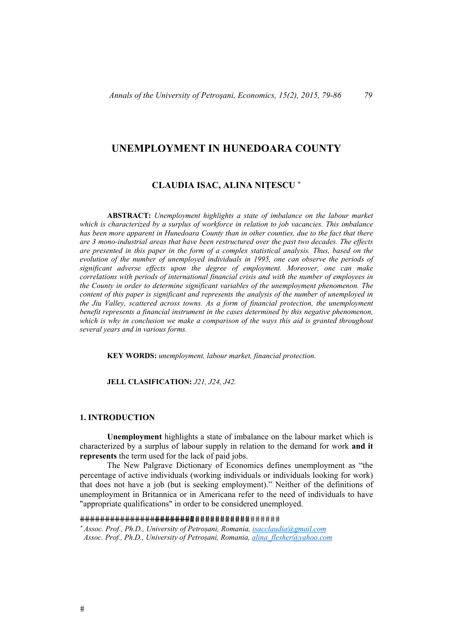# **UNEMPLOYMENT IN HUNEDOARA COUNTY**

# **CLAUDIA ISAC, ALINA NIȚESCU**

**ABSTRACT:** *Unemployment highlights a state of imbalance on the labour market which is characterized by a surplus of workforce in relation to job vacancies. This imbalance has been more apparent in Hunedoara County than in other counties, due to the fact that there are 3 mono-industrial areas that have been restructured over the past two decades. The effects are presented in this paper in the form of a complex statistical analysis. Thus, based on the evolution of the number of unemployed individuals in 1995, one can observe the periods of significant adverse effects upon the degree of employment. Moreover, one can make correlations with periods of international financial crisis and with the number of employees in the County in order to determine significant variables of the unemployment phenomenon. The content of this paper is significant and represents the analysis of the number of unemployed in the Jiu Valley, scattered across towns. As a form of financial protection, the unemployment benefit represents a financial instrument in the cases determined by this negative phenomenon, which is why in conclusion we make a comparison of the ways this aid is granted throughout several years and in various forms.*

**KEY WORDS:** *unemployment, labour market, financial protection.* 

### **JELL CLASIFICATION:** *J21, J24, J42.*

### **1. INTRODUCTION**

 **Unemployment** highlights a state of imbalance on the labour market which is characterized by a surplus of labour supply in relation to the demand for work **and it represents** the term used for the lack of paid jobs.

 The New Palgrave Dictionary of Economics defines unemployment as "the percentage of active individuals (working individuals or individuals looking for work) that does not have a job (but is seeking employment)." Neither of the definitions of unemployment in Britannica or in Americana refer to the need of individuals to have "appropriate qualifications" in order to be considered unemployed.

*Assoc. Prof., Ph.D., University of Petroșani, Romania, isacclaudia@gmail.com Assoc. Prof., Ph.D., University of Petroșani, Romania, alina\_flesher@yahoo.com*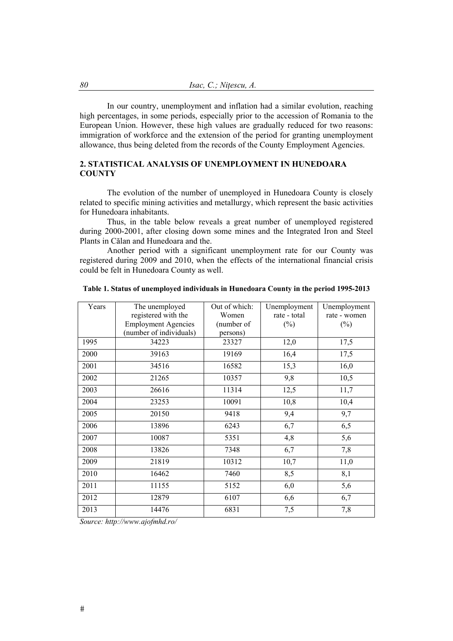In our country, unemployment and inflation had a similar evolution, reaching high percentages, in some periods, especially prior to the accession of Romania to the European Union. However, these high values are gradually reduced for two reasons: immigration of workforce and the extension of the period for granting unemployment allowance, thus being deleted from the records of the County Employment Agencies.

# **2. STATISTICAL ANALYSIS OF UNEMPLOYMENT IN HUNEDOARA COUNTY**

 The evolution of the number of unemployed in Hunedoara County is closely related to specific mining activities and metallurgy, which represent the basic activities for Hunedoara inhabitants.

Thus, in the table below reveals a great number of unemployed registered during 2000-2001, after closing down some mines and the Integrated Iron and Steel Plants in Călan and Hunedoara and the.

Another period with a significant unemployment rate for our County was registered during 2009 and 2010, when the effects of the international financial crisis could be felt in Hunedoara County as well.

| Years | The unemployed             | Out of which: | Unemployment<br>Unemployment |              |
|-------|----------------------------|---------------|------------------------------|--------------|
|       | registered with the        | Women         | rate - total                 | rate - women |
|       | <b>Employment Agencies</b> | (number of    | $(\%)$                       | $(\%)$       |
|       | (number of individuals)    | persons)      |                              |              |
| 1995  | 34223                      | 23327         | 12,0                         | 17,5         |
| 2000  | 39163                      | 19169         | 16,4                         | 17,5         |
| 2001  | 34516                      | 16582         | 15,3                         | 16,0         |
| 2002  | 21265                      | 10357         | 9,8                          | 10,5         |
| 2003  | 26616                      | 11314         | 12,5                         | 11,7         |
| 2004  | 23253                      | 10091         | 10,8                         | 10,4         |
| 2005  | 20150                      | 9418          | 9,4                          | 9,7          |
| 2006  | 13896                      | 6243          | 6,7                          | 6,5          |
| 2007  | 10087                      | 5351          | 4,8                          | 5,6          |
| 2008  | 13826                      | 7348          | 6,7                          | 7,8          |
| 2009  | 21819                      | 10312         | 10,7                         | 11,0         |
| 2010  | 16462                      | 7460          | 8,5                          | 8,1          |
| 2011  | 11155                      | 5152          | 6,0                          | 5,6          |
| 2012  | 12879                      | 6107          | 6,6                          | 6,7          |
| 2013  | 14476                      | 6831          | 7,5                          | 7,8          |

|  |  |  | Table 1. Status of unemployed individuals in Hunedoara County in the period 1995-2013 |
|--|--|--|---------------------------------------------------------------------------------------|
|  |  |  |                                                                                       |

*Source: http://www.ajofmhd.ro/*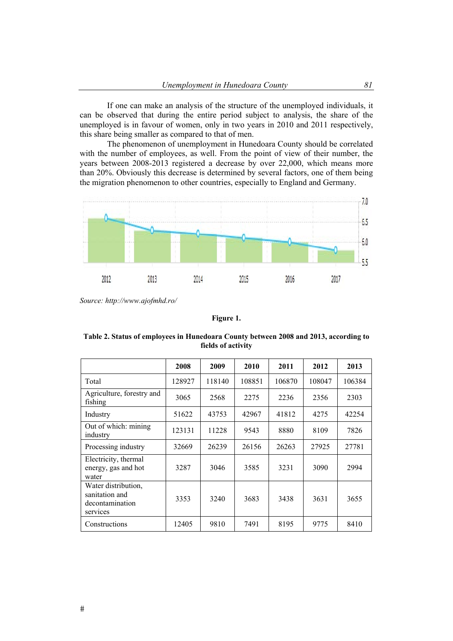If one can make an analysis of the structure of the unemployed individuals, it can be observed that during the entire period subject to analysis, the share of the unemployed is in favour of women, only in two years in 2010 and 2011 respectively, this share being smaller as compared to that of men.

The phenomenon of unemployment in Hunedoara County should be correlated with the number of employees, as well. From the point of view of their number, the years between 2008-2013 registered a decrease by over 22,000, which means more than 20%. Obviously this decrease is determined by several factors, one of them being the migration phenomenon to other countries, especially to England and Germany.



*Source: http://www.ajofmhd.ro/* 

### **Figure 1.**

|                                                                      | 2008   | 2009   | 2010   | 2011   | 2012   | 2013   |
|----------------------------------------------------------------------|--------|--------|--------|--------|--------|--------|
| Total                                                                | 128927 | 118140 | 108851 | 106870 | 108047 | 106384 |
| Agriculture, forestry and<br>fishing                                 | 3065   | 2568   | 2275   | 2236   | 2356   | 2303   |
| Industry                                                             | 51622  | 43753  | 42967  | 41812  | 4275   | 42254  |
| Out of which: mining<br>industry                                     | 123131 | 11228  | 9543   | 8880   | 8109   | 7826   |
| Processing industry                                                  | 32669  | 26239  | 26156  | 26263  | 27925  | 27781  |
| Electricity, thermal<br>energy, gas and hot<br>water                 | 3287   | 3046   | 3585   | 3231   | 3090   | 2994   |
| Water distribution,<br>sanitation and<br>decontamination<br>services | 3353   | 3240   | 3683   | 3438   | 3631   | 3655   |
| Constructions                                                        | 12405  | 9810   | 7491   | 8195   | 9775   | 8410   |

**Table 2. Status of employees in Hunedoara County between 2008 and 2013, according to fields of activity**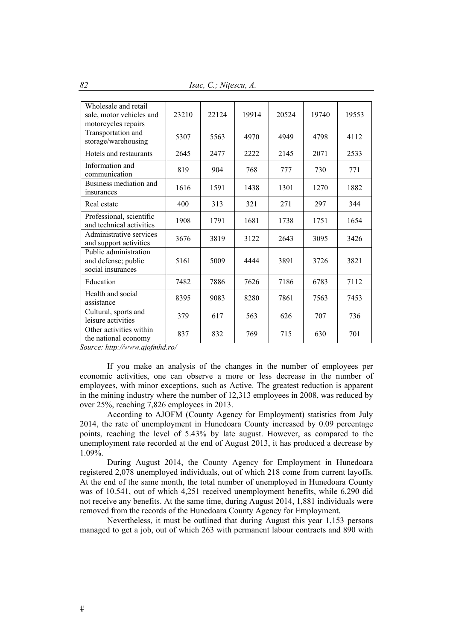*82 Isac, C.; Nițescu, A.* 

| Wholesale and retail<br>sale, motor vehicles and<br>motorcycles repairs | 23210 | 22124 | 19914 | 20524 | 19740 | 19553 |
|-------------------------------------------------------------------------|-------|-------|-------|-------|-------|-------|
| Transportation and<br>storage/warehousing                               | 5307  | 5563  | 4970  | 4949  | 4798  | 4112  |
| Hotels and restaurants                                                  | 2645  | 2477  | 2222  | 2145  | 2071  | 2533  |
| Information and<br>communication                                        | 819   | 904   | 768   | 777   | 730   | 771   |
| Business mediation and<br>insurances                                    | 1616  | 1591  | 1438  | 1301  | 1270  | 1882  |
| Real estate                                                             | 400   | 313   | 321   | 271   | 297   | 344   |
| Professional, scientific<br>and technical activities                    | 1908  | 1791  | 1681  | 1738  | 1751  | 1654  |
| Administrative services<br>and support activities                       | 3676  | 3819  | 3122  | 2643  | 3095  | 3426  |
| Public administration<br>and defense; public<br>social insurances       | 5161  | 5009  | 4444  | 3891  | 3726  | 3821  |
| Education                                                               | 7482  | 7886  | 7626  | 7186  | 6783  | 7112  |
| Health and social<br>assistance                                         | 8395  | 9083  | 8280  | 7861  | 7563  | 7453  |
| Cultural, sports and<br>leisure activities                              | 379   | 617   | 563   | 626   | 707   | 736   |
| Other activities within<br>the national economy                         | 837   | 832   | 769   | 715   | 630   | 701   |

*Source: http://www.ajofmhd.ro/* 

If you make an analysis of the changes in the number of employees per economic activities, one can observe a more or less decrease in the number of employees, with minor exceptions, such as Active. The greatest reduction is apparent in the mining industry where the number of 12,313 employees in 2008, was reduced by over 25%, reaching 7,826 employees in 2013.

According to AJOFM (County Agency for Employment) statistics from July 2014, the rate of unemployment in Hunedoara County increased by 0.09 percentage points, reaching the level of 5.43% by late august. However, as compared to the unemployment rate recorded at the end of August 2013, it has produced a decrease by 1.09%.

During August 2014, the County Agency for Employment in Hunedoara registered 2,078 unemployed individuals, out of which 218 come from current layoffs. At the end of the same month, the total number of unemployed in Hunedoara County was of 10.541, out of which 4,251 received unemployment benefits, while 6,290 did not receive any benefits. At the same time, during August 2014, 1,881 individuals were removed from the records of the Hunedoara County Agency for Employment.

Nevertheless, it must be outlined that during August this year 1,153 persons managed to get a job, out of which 263 with permanent labour contracts and 890 with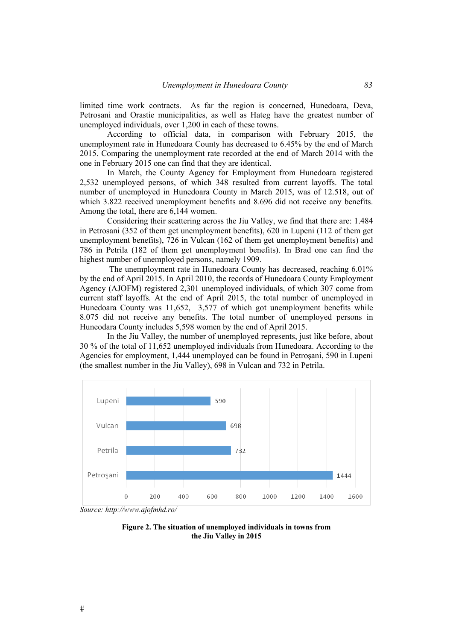limited time work contracts. As far the region is concerned, Hunedoara, Deva, Petrosani and Orastie municipalities, as well as Hateg have the greatest number of unemployed individuals, over 1,200 in each of these towns.

According to official data, in comparison with February 2015, the unemployment rate in Hunedoara County has decreased to 6.45% by the end of March 2015. Comparing the unemployment rate recorded at the end of March 2014 with the one in February 2015 one can find that they are identical.

In March, the County Agency for Employment from Hunedoara registered 2,532 unemployed persons, of which 348 resulted from current layoffs. The total number of unemployed in Hunedoara County in March 2015, was of 12.518, out of which 3.822 received unemployment benefits and 8.696 did not receive any benefits. Among the total, there are 6,144 women.

Considering their scattering across the Jiu Valley, we find that there are: 1.484 in Petrosani (352 of them get unemployment benefits), 620 in Lupeni (112 of them get unemployment benefits), 726 in Vulcan (162 of them get unemployment benefits) and 786 in Petrila (182 of them get unemployment benefits). In Brad one can find the highest number of unemployed persons, namely 1909.

 The unemployment rate in Hunedoara County has decreased, reaching 6.01% by the end of April 2015. In April 2010, the records of Hunedoara County Employment Agency (AJOFM) registered 2,301 unemployed individuals, of which 307 come from current staff layoffs. At the end of April 2015, the total number of unemployed in Hunedoara County was 11,652, 3,577 of which got unemployment benefits while 8.075 did not receive any benefits. The total number of unemployed persons in Huneodara County includes 5,598 women by the end of April 2015.

In the Jiu Valley, the number of unemployed represents, just like before, about 30 % of the total of 11,652 unemployed individuals from Hunedoara. According to the Agencies for employment, 1,444 unemployed can be found in Petroşani, 590 in Lupeni (the smallest number in the Jiu Valley), 698 in Vulcan and 732 in Petrila.



*Source: http://www.ajofmhd.ro/* 

**Figure 2. The situation of unemployed individuals in towns from the Jiu Valley in 2015**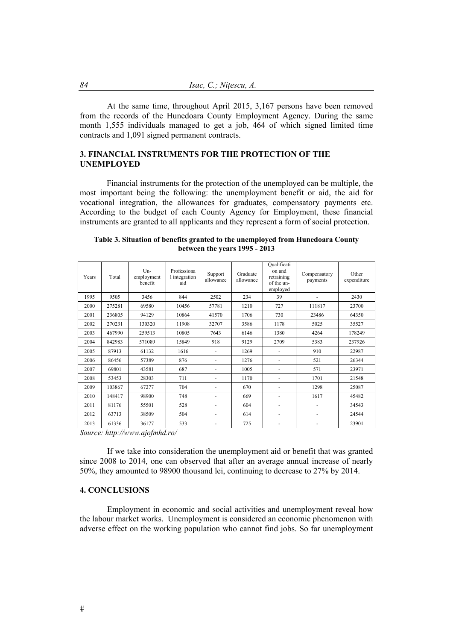At the same time, throughout April 2015, 3,167 persons have been removed from the records of the Hunedoara County Employment Agency. During the same month 1,555 individuals managed to get a job, 464 of which signed limited time contracts and 1,091 signed permanent contracts.

# **3. FINANCIAL INSTRUMENTS FOR THE PROTECTION OF THE UNEMPLOYED**

Financial instruments for the protection of the unemployed can be multiple, the most important being the following: the unemployment benefit or aid, the aid for vocational integration, the allowances for graduates, compensatory payments etc. According to the budget of each County Agency for Employment, these financial instruments are granted to all applicants and they represent a form of social protection.

| Years | Total  | $Um-$<br>employment<br>benefit | Professiona<br>l integration<br>aid | Support<br>allowance | Graduate<br>allowance | Qualificati<br>on and<br>retraining<br>of the un-<br>employed | Compensatory<br>payments | Other<br>expenditure |
|-------|--------|--------------------------------|-------------------------------------|----------------------|-----------------------|---------------------------------------------------------------|--------------------------|----------------------|
| 1995  | 9505   | 3456                           | 844                                 | 2502                 | 234                   | 39                                                            |                          | 2430                 |
| 2000  | 275281 | 69580                          | 10456                               | 57781                | 1210                  | 727                                                           | 111817                   | 23700                |
| 2001  | 236805 | 94129                          | 10864                               | 41570                | 1706                  | 730                                                           | 23486                    | 64350                |
| 2002  | 270231 | 130320                         | 11908                               | 32707                | 3586                  | 1178                                                          | 5025                     | 35527                |
| 2003  | 467990 | 259513                         | 10805                               | 7643                 | 6146                  | 1380                                                          | 4264                     | 178249               |
| 2004  | 842983 | 571089                         | 15849                               | 918                  | 9129                  | 2709                                                          | 5383                     | 237926               |
| 2005  | 87913  | 61132                          | 1616                                |                      | 1269                  |                                                               | 910                      | 22987                |
| 2006  | 86456  | 57389                          | 876                                 |                      | 1276                  |                                                               | 521                      | 26344                |
| 2007  | 69801  | 43581                          | 687                                 |                      | 1005                  |                                                               | 571                      | 23971                |
| 2008  | 53453  | 28303                          | 711                                 |                      | 1170                  |                                                               | 1701                     | 21548                |
| 2009  | 103867 | 67277                          | 704                                 | ٠                    | 670                   |                                                               | 1298                     | 25087                |
| 2010  | 148417 | 98900                          | 748                                 | ٠                    | 669                   | ٠                                                             | 1617                     | 45482                |
| 2011  | 81176  | 55501                          | 528                                 | ٠                    | 604                   | ٠                                                             |                          | 34543                |
| 2012  | 63713  | 38509                          | 504                                 | -                    | 614                   | ٠                                                             |                          | 24544                |
| 2013  | 61336  | 36177                          | 533                                 | ٠                    | 725                   | ٠                                                             |                          | 23901                |

| Table 3. Situation of benefits granted to the unemployed from Hunedoara County |
|--------------------------------------------------------------------------------|
| between the years 1995 - 2013                                                  |

*Source: http://www.ajofmhd.ro/* 

If we take into consideration the unemployment aid or benefit that was granted since 2008 to 2014, one can observed that after an average annual increase of nearly 50%, they amounted to 98900 thousand lei, continuing to decrease to 27% by 2014.

### **4. CONCLUSIONS**

Employment in economic and social activities and unemployment reveal how the labour market works. Unemployment is considered an economic phenomenon with adverse effect on the working population who cannot find jobs. So far unemployment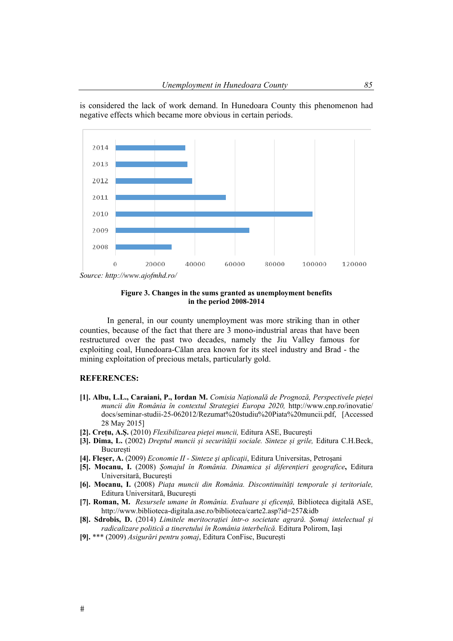is considered the lack of work demand. In Hunedoara County this phenomenon had negative effects which became more obvious in certain periods.



**Figure 3. Changes in the sums granted as unemployment benefits in the period 2008-2014** 

In general, in our county unemployment was more striking than in other counties, because of the fact that there are 3 mono-industrial areas that have been restructured over the past two decades, namely the Jiu Valley famous for exploiting coal, Hunedoara-Călan area known for its steel industry and Brad - the mining exploitation of precious metals, particularly gold.

# **REFERENCES:**

- **[1]. Albu, L.L., Caraiani, P., Iordan M.** *Comisia Națională de Prognoză, Perspectivele pieței muncii din România în contextul Strategiei Europa 2020,* http://www.cnp.ro/inovatie/ docs/seminar-studii-25-062012/Rezumat%20studiu%20Piata%20muncii.pdf, [Accessed 28 May 2015]
- **[2]. Crețu, A.Ș.** (2010) *Flexibilizarea pieței muncii,* Editura ASE, București
- **[3]. Dima, L.** (2002) *Dreptul muncii și securității sociale. Sinteze și grile,* Editura C.H.Beck, **București**
- **[4]. Fleșer, A.** (2009) *Economie II Sinteze şi aplicaţii*, Editura Universitas, Petroşani
- **[5]. Mocanu, I.** (2008) *Șomajul în România. Dinamica și diferențieri geografice***,** Editura Universitară, București
- **[6]. Mocanu, I.** (2008) *Piața muncii din România. Discontinuități temporale și teritoriale,*  Editura Universitară, București
- **[7]. Roman, M.** *Resursele umane în România. Evaluare și eficență,* Biblioteca digitală ASE, http://www.biblioteca-digitala.ase.ro/biblioteca/carte2.asp?id=257&idb
- **[8]. Sdrobis, D.** (2014) *Limitele meritocrației într-o societate agrară. Șomaj intelectual și radicalizare politică a tineretului în România interbelică.* Editura Polirom, Iași
- **[9].** \*\*\* (2009) *Asigurări pentru șomaj*, Editura ConFisc, București